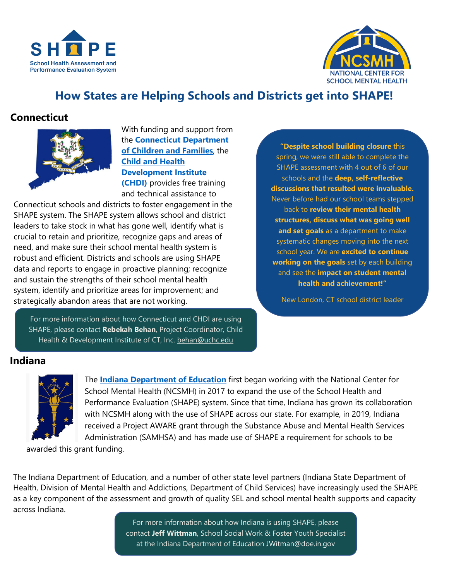



# **How States are Helping Schools and Districts get into SHAPE!**

## **Connecticut**



With funding and support from the **[Connecticut Department](https://portal.ct.gov/dcf)  [of Children and Families](https://portal.ct.gov/dcf)**, the **[Child and Health](https://www.chdi.org/)  [Development Institute](https://www.chdi.org/)** 

**[\(CHDI\)](https://www.chdi.org/)** provides free training and technical assistance to

Connecticut schools and districts to foster engagement in the SHAPE system. The SHAPE system allows school and district leaders to take stock in what has gone well, identify what is crucial to retain and prioritize, recognize gaps and areas of need, and make sure their school mental health system is robust and efficient. Districts and schools are using SHAPE data and reports to engage in proactive planning; recognize and sustain the strengths of their school mental health system, identify and prioritize areas for improvement; and strategically abandon areas that are not working.

For more information about how Connecticut and CHDI are using SHAPE, please contact **Rebekah Behan**, Project Coordinator, Child Health & Development Institute of CT, Inc. [behan@uchc.edu](mailto:behan@uchc.edu)

**"Despite school building closure** this spring, we were still able to complete the SHAPE assessment with 4 out of 6 of our schools and the **deep, self-reflective discussions that resulted were invaluable.** Never before had our school teams stepped back to **review their mental health structures, discuss what was going well and set goals** as a department to make systematic changes moving into the next school year. We are **excited to continue working on the goals** set by each building and see the **impact on student mental health and achievement!"**

New London, CT school district leader

#### **Indiana**



The **[Indiana Department of Education](https://www.doe.in.gov/)** first began working with the National Center for School Mental Health (NCSMH) in 2017 to expand the use of the School Health and Performance Evaluation (SHAPE) system. Since that time, Indiana has grown its collaboration with NCSMH along with the use of SHAPE across our state. For example, in 2019, Indiana received a Project AWARE grant through the Substance Abuse and Mental Health Services Administration (SAMHSA) and has made use of SHAPE a requirement for schools to be

awarded this grant funding.

The Indiana Department of Education, and a number of other state level partners (Indiana State Department of Health, Division of Mental Health and Addictions, Department of Child Services) have increasingly used the SHAPE as a key component of the assessment and growth of quality SEL and school mental health supports and capacity across Indiana.

> For more information about how Indiana is using SHAPE, please contact **Jeff Wittman**, School Social Work & Foster Youth Specialist at the Indiana Department of Education [JWitman@doe.in.gov](mailto:JWitman@doe.in.gov)